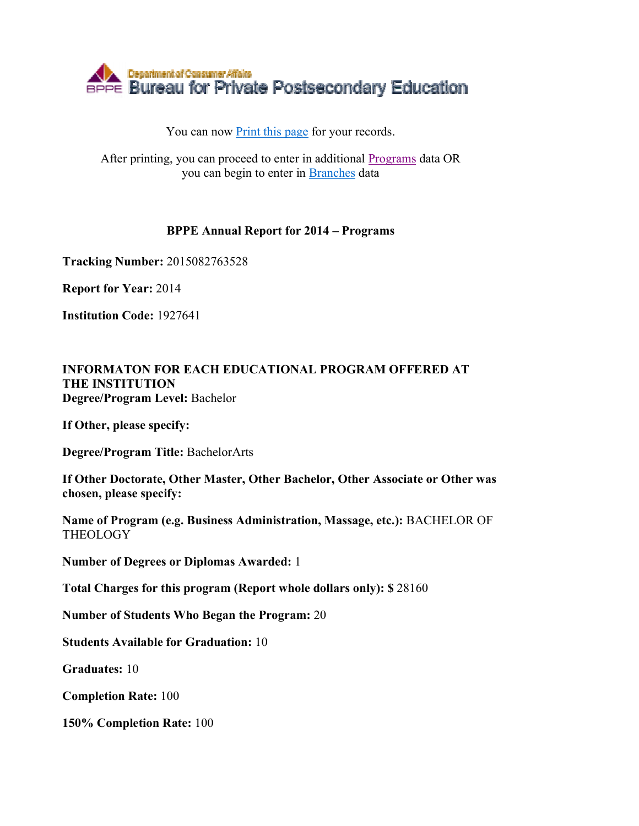

## You can now Print this page for your records.

After printing, you can proceed to enter in additional Programs data OR you can begin to enter in Branches data

## **BPPE Annual Report for 2014 – Programs**

**Tracking Number:** 2015082763528

**Report for Year:** 2014

**Institution Code:** 1927641

## **INFORMATON FOR EACH EDUCATIONAL PROGRAM OFFERED AT THE INSTITUTION Degree/Program Level:** Bachelor

**If Other, please specify:** 

**Degree/Program Title:** BachelorArts

**If Other Doctorate, Other Master, Other Bachelor, Other Associate or Other was chosen, please specify:** 

**Name of Program (e.g. Business Administration, Massage, etc.):** BACHELOR OF **THEOLOGY** 

**Number of Degrees or Diplomas Awarded:** 1

**Total Charges for this program (Report whole dollars only): \$** 28160

**Number of Students Who Began the Program:** 20

**Students Available for Graduation:** 10

**Graduates:** 10

**Completion Rate:** 100

**150% Completion Rate:** 100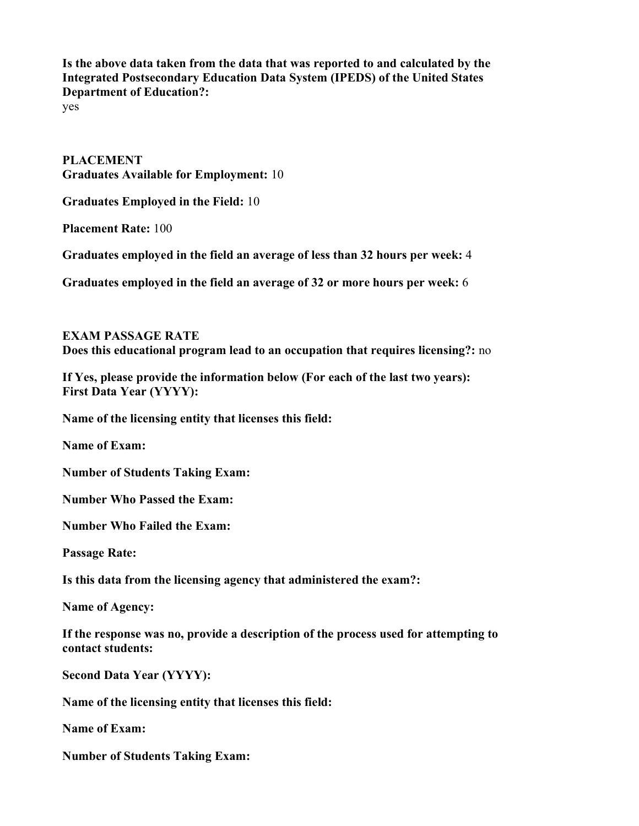**Is the above data taken from the data that was reported to and calculated by the Integrated Postsecondary Education Data System (IPEDS) of the United States Department of Education?:**

yes

**PLACEMENT Graduates Available for Employment:** 10

**Graduates Employed in the Field:** 10

**Placement Rate:** 100

**Graduates employed in the field an average of less than 32 hours per week:** 4

**Graduates employed in the field an average of 32 or more hours per week:** 6

**EXAM PASSAGE RATE Does this educational program lead to an occupation that requires licensing?:** no

**If Yes, please provide the information below (For each of the last two years): First Data Year (YYYY):** 

**Name of the licensing entity that licenses this field:** 

**Name of Exam:** 

**Number of Students Taking Exam:** 

**Number Who Passed the Exam:** 

**Number Who Failed the Exam:** 

**Passage Rate:** 

**Is this data from the licensing agency that administered the exam?:** 

**Name of Agency:** 

**If the response was no, provide a description of the process used for attempting to contact students:** 

**Second Data Year (YYYY):** 

**Name of the licensing entity that licenses this field:** 

**Name of Exam:** 

**Number of Students Taking Exam:**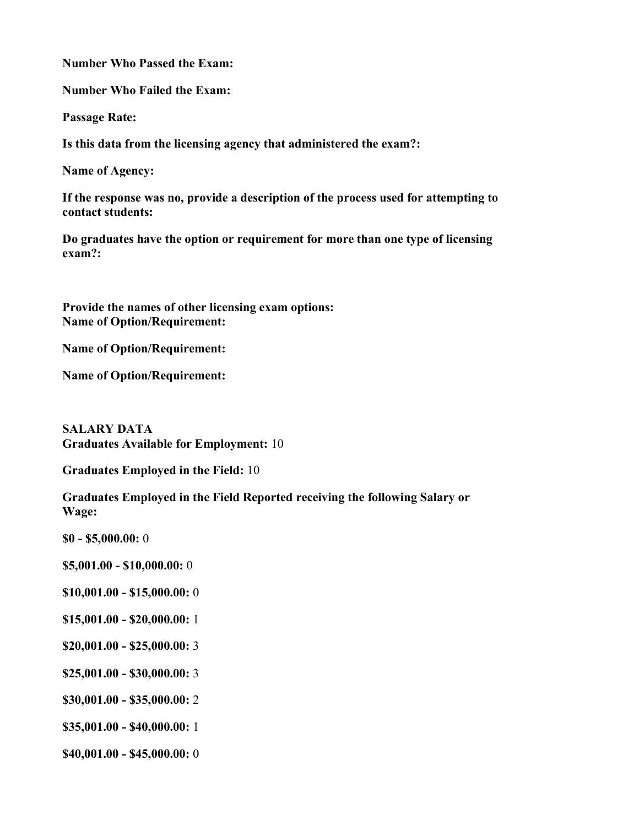**Number Who Passed the Exam:** 

**Number Who Failed the Exam:** 

**Passage Rate:** 

**Is this data from the licensing agency that administered the exam?:** 

**Name of Agency:** 

**If the response was no, provide a description of the process used for attempting to contact students:** 

**Do graduates have the option or requirement for more than one type of licensing exam?:** 

**Provide the names of other licensing exam options: Name of Option/Requirement:** 

**Name of Option/Requirement:** 

**Name of Option/Requirement:** 

**SALARY DATA Graduates Available for Employment:** 10

**Graduates Employed in the Field:** 10

**Graduates Employed in the Field Reported receiving the following Salary or Wage:**

**\$0 - \$5,000.00:** 0

**\$5,001.00 - \$10,000.00:** 0

- **\$10,001.00 \$15,000.00:** 0
- **\$15,001.00 \$20,000.00:** 1
- **\$20,001.00 \$25,000.00:** 3
- **\$25,001.00 \$30,000.00:** 3
- **\$30,001.00 \$35,000.00:** 2

**\$35,001.00 - \$40,000.00:** 1

**\$40,001.00 - \$45,000.00:** 0